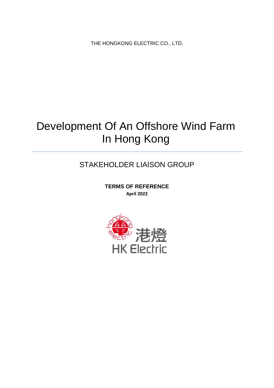THE HONGKONG ELECTRIC CO., LTD.

# Development Of An Offshore Wind Farm In Hong Kong

# STAKEHOLDER LIAISON GROUP

**TERMS OF REFERENCE April 2022**

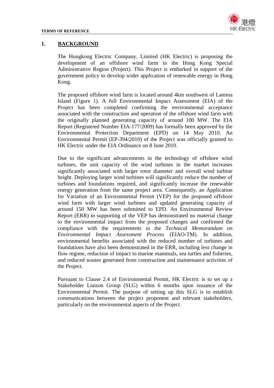

#### **1. BACKGROUND**

The Hongkong Electric Company, Limited (HK Electric) is proposing the development of an offshore wind farm in the Hong Kong Special Administrative Region (Project). This Project is embarked in support of the government policy to develop wider application of renewable energy in Hong Kong.

The proposed offshore wind farm is located around 4km southwest of Lamma Island (Figure 1). A full Environmental Impact Assessment (EIA) of the Project has been completed confirming the environmental acceptance associated with the construction and operation of the offshore wind farm with the originally planned generating capacity of around 100 MW. The EIA Report (Registered Number EIA-177/2009) has formally been approved by the Environmental Protection Department (EPD) on 14 May 2010. An Environmental Permit (EP-394/2010) of the Project was officially granted to HK Electric under the EIA Ordinance on 8 June 2010.

Due to the significant advancements in the technology of offshore wind turbines, the unit capacity of the wind turbines in the market increases significantly associated with larger rotor diameter and overall wind turbine height. Deploying larger wind turbines will significantly reduce the number of turbines and foundations required, and significantly increase the renewable energy generation from the same project area. Consequently, an Application for Variation of an Environmental Permit (VEP) for the proposed offshore wind farm with larger wind turbines and updated generating capacity of around 150 MW has been submitted to EPD. An Environmental Review Report (ERR) in supporting of the VEP has demonstrated no material change to the environmental impact from the proposed changes and confirmed the compliance with the requirements in the *Technical Memorandum on Environmental Impact Assessment Process* (EIAO-TM). In addition, environmental benefits associated with the reduced number of turbines and foundations have also been demonstrated in the ERR, including less change in flow regime, reduction of impact to marine mammals, sea turtles and fisheries, and reduced wastes generated from construction and maintenance activities of the Project.

Pursuant to Clause 2.4 of Environmental Permit, HK Electric is to set up a Stakeholder Liaison Group (SLG) within 6 months upon issuance of the Environmental Permit. The purpose of setting up this SLG is to establish communications between the project proponent and relevant stakeholders, particularly on the environmental aspects of the Project.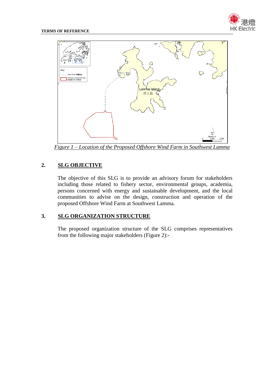



*Figure 1 – Location of the Proposed Offshore Wind Farm in Southwest Lamma*

# **2. SLG OBJECTIVE**

The objective of this SLG is to provide an advisory forum for stakeholders including those related to fishery sector, environmental groups, academia, persons concerned with energy and sustainable development, and the local communities to advise on the design, construction and operation of the proposed Offshore Wind Farm at Southwest Lamma.

## **3. SLG ORGANIZATION STRUCTURE**

The proposed organization structure of the SLG comprises representatives from the following major stakeholders (Figure 2):-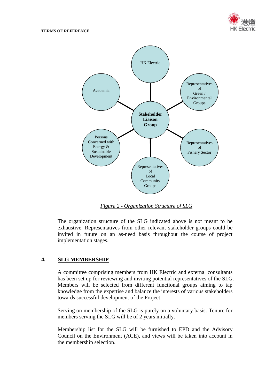



*Figure 2 - Organization Structure of SLG*

The organization structure of the SLG indicated above is not meant to be exhaustive. Representatives from other relevant stakeholder groups could be invited in future on an as-need basis throughout the course of project implementation stages.

#### **4. SLG MEMBERSHIP**

A committee comprising members from HK Electric and external consultants has been set up for reviewing and inviting potential representatives of the SLG. Members will be selected from different functional groups aiming to tap knowledge from the expertise and balance the interests of various stakeholders towards successful development of the Project.

Serving on membership of the SLG is purely on a voluntary basis. Tenure for members serving the SLG will be of 2 years initially.

Membership list for the SLG will be furnished to EPD and the Advisory Council on the Environment (ACE), and views will be taken into account in the membership selection.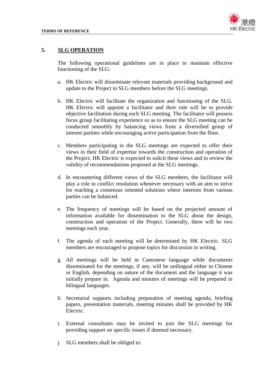

#### **5. SLG OPERATION**

The following operational guidelines are in place to maintain effective functioning of the SLG:

- a. HK Electric will disseminate relevant materials providing background and update to the Project to SLG members before the SLG meetings.
- b. HK Electric will facilitate the organization and functioning of the SLG. HK Electric will appoint a facilitator and their role will be to provide objective facilitation during each SLG meeting. The facilitator will possess focus group facilitating experience so as to ensure the SLG meeting can be conducted smoothly by balancing views from a diversified group of interest parities while encouraging active participation from the floor.
- c. Members participating in the SLG meetings are expected to offer their views in their field of expertise towards the construction and operation of the Project. HK Electric is expected to solicit these views and to review the validity of recommendations proposed at the SLG meetings.
- d. In encountering different views of the SLG members, the facilitator will play a role in conflict resolution whenever necessary with an aim to strive for reaching a consensus oriented solutions where interests from various parties can be balanced.
- e. The frequency of meetings will be based on the projected amount of information available for dissemination to the SLG about the design, construction and operation of the Project. Generally, there will be two meetings each year.
- f. The agenda of each meeting will be determined by HK Electric. SLG members are encouraged to propose topics for discussion in writing.
- g. All meetings will be held in Cantonese language while documents disseminated for the meetings, if any, will be unilingual either in Chinese or English, depending on nature of the document and the language it was initially prepare in. Agenda and minutes of meetings will be prepared in bilingual languages.
- h. Secretarial supports including preparation of meeting agenda, briefing papers, presentation materials, meeting minutes shall be provided by HK Electric.
- i. External consultants may be invited to join the SLG meetings for providing support on specific issues if deemed necessary.
- j. SLG members shall be obliged to: